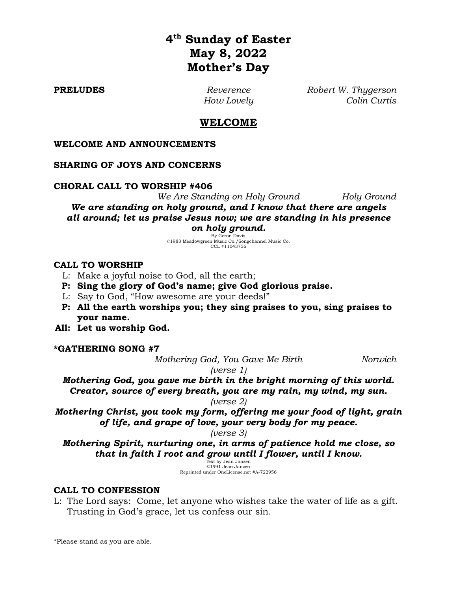# **4 th Sunday of Easter May 8, 2022 Mother's Day**

**PRELUDES** *Reverence Robert W. Thygerson How Lovely Colin Curtis*

## **WELCOME**

## **WELCOME AND ANNOUNCEMENTS**

## **SHARING OF JOYS AND CONCERNS**

## **CHORAL CALL TO WORSHIP #406**

*We Are Standing on Holy Ground Holy Ground We are standing on holy ground, and I know that there are angels all around; let us praise Jesus now; we are standing in his presence on holy ground.*

> By Geron Davis ©1983 Meadowgreen Music Co./Songchannel Music Co. CCL #11043756

### **CALL TO WORSHIP**

- L: Make a joyful noise to God, all the earth;
- **P: Sing the glory of God's name; give God glorious praise.**
- L: Say to God, "How awesome are your deeds!"
- **P: All the earth worships you; they sing praises to you, sing praises to your name.**
- **All: Let us worship God.**

#### **\*GATHERING SONG #7**

*Mothering God, You Gave Me Birth Norwich*

*(verse 1)*

*Mothering God, you gave me birth in the bright morning of this world. Creator, source of every breath, you are my rain, my wind, my sun.*

*(verse 2)*

*Mothering Christ, you took my form, offering me your food of light, grain of life, and grape of love, your very body for my peace.*

*(verse 3)*

*Mothering Spirit, nurturing one, in arms of patience hold me close, so that in faith I root and grow until I flower, until I know.*

> Text by Jean Janzen ©1991 Jean Janzen Reprinted under OneLicense.net #A-722956

## **CALL TO CONFESSION**

L: The Lord says: Come, let anyone who wishes take the water of life as a gift. Trusting in God's grace, let us confess our sin.

\*Please stand as you are able.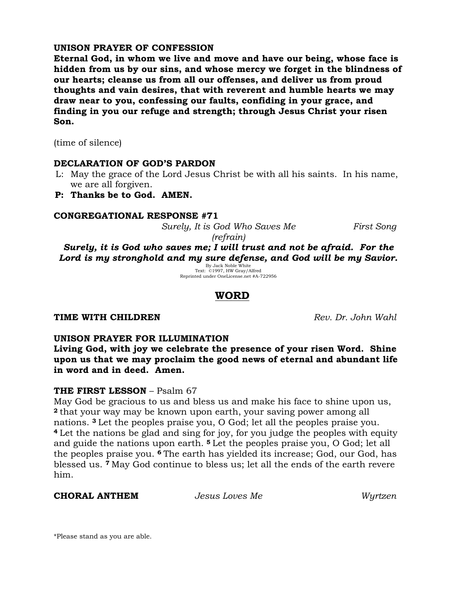## **UNISON PRAYER OF CONFESSION**

**Eternal God, in whom we live and move and have our being, whose face is hidden from us by our sins, and whose mercy we forget in the blindness of our hearts; cleanse us from all our offenses, and deliver us from proud thoughts and vain desires, that with reverent and humble hearts we may draw near to you, confessing our faults, confiding in your grace, and finding in you our refuge and strength; through Jesus Christ your risen Son.**

(time of silence)

## **DECLARATION OF GOD'S PARDON**

- L: May the grace of the Lord Jesus Christ be with all his saints. In his name, we are all forgiven.
- **P: Thanks be to God. AMEN.**

## **CONGREGATIONAL RESPONSE #71**

*Surely, It is God Who Saves Me First Song*

*(refrain)*

*Surely, it is God who saves me; I will trust and not be afraid. For the Lord is my stronghold and my sure defense, and God will be my Savior.* By Jack Noble White

Text: ©1997, HW Gray/Alfred Reprinted under OneLicense.net #A-722956

# **WORD**

**TIME WITH CHILDREN** *Rev. Dr. John Wahl*

## **UNISON PRAYER FOR ILLUMINATION**

**Living God, with joy we celebrate the presence of your risen Word. Shine upon us that we may proclaim the good news of eternal and abundant life in word and in deed. Amen.**

## **THE FIRST LESSON** – Psalm 67

May God be gracious to us and bless us and make his face to shine upon us, **<sup>2</sup>** that your way may be known upon earth, your saving power among all nations. **<sup>3</sup>** Let the peoples praise you, O God; let all the peoples praise you. **<sup>4</sup>** Let the nations be glad and sing for joy, for you judge the peoples with equity and guide the nations upon earth. **<sup>5</sup>** Let the peoples praise you, O God; let all the peoples praise you. **<sup>6</sup>** The earth has yielded its increase; God, our God, has blessed us. **<sup>7</sup>** May God continue to bless us; let all the ends of the earth revere him.

## **CHORAL ANTHEM** *Jesus Loves Me Wyrtzen*

\*Please stand as you are able.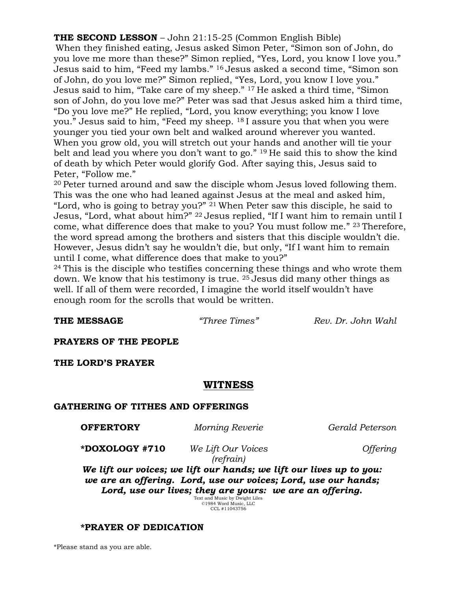**THE SECOND LESSON** – John 21:15-25 (Common English Bible)

When they finished eating, Jesus asked Simon Peter, "Simon son of John, do you love me more than these?" Simon replied, "Yes, Lord, you know I love you." Jesus said to him, "Feed my lambs." <sup>16</sup> Jesus asked a second time, "Simon son of John, do you love me?" Simon replied, "Yes, Lord, you know I love you." Jesus said to him, "Take care of my sheep." <sup>17</sup> He asked a third time, "Simon son of John, do you love me?" Peter was sad that Jesus asked him a third time, "Do you love me?" He replied, "Lord, you know everything; you know I love you." Jesus said to him, "Feed my sheep. <sup>18</sup> I assure you that when you were younger you tied your own belt and walked around wherever you wanted. When you grow old, you will stretch out your hands and another will tie your belt and lead you where you don't want to go." <sup>19</sup> He said this to show the kind of death by which Peter would glorify God. After saying this, Jesus said to Peter, "Follow me."

<sup>20</sup> Peter turned around and saw the disciple whom Jesus loved following them. This was the one who had leaned against Jesus at the meal and asked him, "Lord, who is going to betray you?" <sup>21</sup> When Peter saw this disciple, he said to Jesus, "Lord, what about him?" <sup>22</sup> Jesus replied, "If I want him to remain until I come, what difference does that make to you? You must follow me." <sup>23</sup> Therefore, the word spread among the brothers and sisters that this disciple wouldn't die. However, Jesus didn't say he wouldn't die, but only, "If I want him to remain until I come, what difference does that make to you?"

<sup>24</sup> This is the disciple who testifies concerning these things and who wrote them down. We know that his testimony is true. <sup>25</sup> Jesus did many other things as well. If all of them were recorded, I imagine the world itself wouldn't have enough room for the scrolls that would be written.

**THE MESSAGE** *"Three Times" Rev. Dr. John Wahl*

**PRAYERS OF THE PEOPLE**

**THE LORD'S PRAYER**

# **WITNESS**

## **GATHERING OF TITHES AND OFFERINGS**

**OFFERTORY** *Morning Reverie Gerald Peterson*

**\*DOXOLOGY #710** *We Lift Our Voices Offering*

*(refrain)*

*We lift our voices; we lift our hands; we lift our lives up to you: we are an offering. Lord, use our voices; Lord, use our hands; Lord, use our lives; they are yours: we are an offering.*

Text and Music by Dwight Liles ©1984 Word Music, LLC CCL #11043756

## **\*PRAYER OF DEDICATION**

\*Please stand as you are able.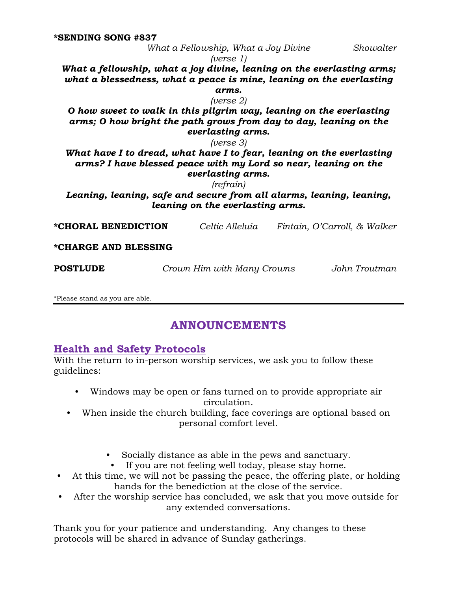**\*SENDING SONG #837**

*What a Fellowship, What a Joy Divine Showalter*

*(verse 1)*

*What a fellowship, what a joy divine, leaning on the everlasting arms; what a blessedness, what a peace is mine, leaning on the everlasting arms.*

*(verse 2)*

*O how sweet to walk in this pilgrim way, leaning on the everlasting arms; O how bright the path grows from day to day, leaning on the everlasting arms.*

*(verse 3)*

*What have I to dread, what have I to fear, leaning on the everlasting arms? I have blessed peace with my Lord so near, leaning on the everlasting arms.*

*(refrain)*

*Leaning, leaning, safe and secure from all alarms, leaning, leaning, leaning on the everlasting arms.*

| *CHORAL BENEDICTION  | Celtic Alleluia            | Fintain, O'Carroll, & Walker |  |  |  |
|----------------------|----------------------------|------------------------------|--|--|--|
| *CHARGE AND BLESSING |                            |                              |  |  |  |
| <b>POSTLUDE</b>      | Crown Him with Many Crowns | John Troutman                |  |  |  |
|                      |                            |                              |  |  |  |

\*Please stand as you are able.

# **ANNOUNCEMENTS**

# **Health and Safety Protocols**

With the return to in-person worship services, we ask you to follow these guidelines:

- Windows may be open or fans turned on to provide appropriate air circulation.
- When inside the church building, face coverings are optional based on personal comfort level.
	- Socially distance as able in the pews and sanctuary.
	- If you are not feeling well today, please stay home.
- At this time, we will not be passing the peace, the offering plate, or holding hands for the benediction at the close of the service.
- After the worship service has concluded, we ask that you move outside for any extended conversations.

Thank you for your patience and understanding. Any changes to these protocols will be shared in advance of Sunday gatherings.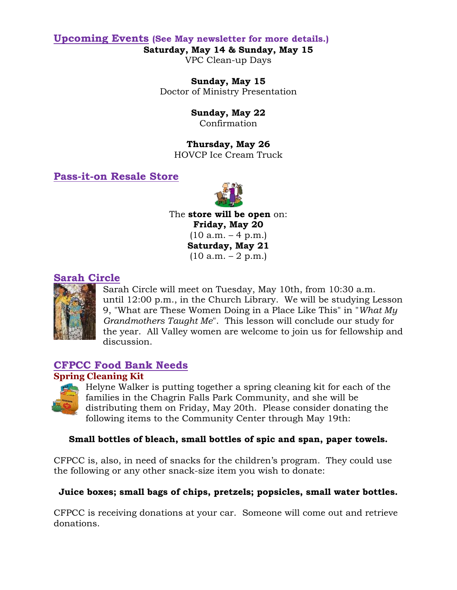## **Upcoming Events (See May newsletter for more details.)**

## **Saturday, May 14 & Sunday, May 15**

VPC Clean-up Days

## **Sunday, May 15**

Doctor of Ministry Presentation

# **Sunday, May 22**

Confirmation

## **Thursday, May 26** HOVCP Ice Cream Truck

**Pass-it-on Resale Store**



The **store will be open** on: **Friday, May 20**  $(10 a.m. - 4 p.m.)$ **Saturday, May 21**  $(10 a.m. - 2 p.m.)$ 

# **Sarah Circle**



Sarah Circle will meet on Tuesday, May 10th, from 10:30 a.m. until 12:00 p.m., in the Church Library. We will be studying Lesson 9, "What are These Women Doing in a Place Like This" in "*What My Grandmothers Taught Me*". This lesson will conclude our study for the year. All Valley women are welcome to join us for fellowship and discussion.

# **CFPCC Food Bank Needs**

## **Spring Cleaning Kit**



Helyne Walker is putting together a spring cleaning kit for each of the families in the Chagrin Falls Park Community, and she will be distributing them on Friday, May 20th. Please consider donating the following items to the Community Center through May 19th:

# **Small bottles of bleach, small bottles of spic and span, paper towels.**

CFPCC is, also, in need of snacks for the children's program. They could use the following or any other snack-size item you wish to donate:

# **Juice boxes; small bags of chips, pretzels; popsicles, small water bottles.**

CFPCC is receiving donations at your car. Someone will come out and retrieve donations.